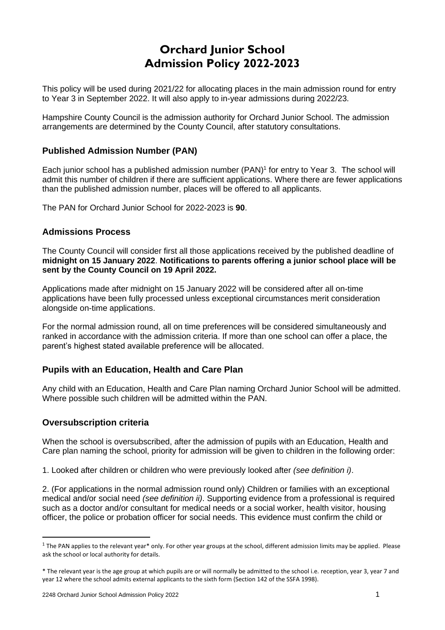# **Orchard Junior School Admission Policy 2022-2023**

This policy will be used during 2021/22 for allocating places in the main admission round for entry to Year 3 in September 2022. It will also apply to in-year admissions during 2022/23.

Hampshire County Council is the admission authority for Orchard Junior School. The admission arrangements are determined by the County Council, after statutory consultations.

# **Published Admission Number (PAN)**

Each junior school has a published admission number (PAN) 1 for entry to Year 3. The school will admit this number of children if there are sufficient applications. Where there are fewer applications than the published admission number, places will be offered to all applicants.

The PAN for Orchard Junior School for 2022-2023 is **90**.

## **Admissions Process**

The County Council will consider first all those applications received by the published deadline of **midnight on 15 January 2022**. **Notifications to parents offering a junior school place will be sent by the County Council on 19 April 2022.**

Applications made after midnight on 15 January 2022 will be considered after all on-time applications have been fully processed unless exceptional circumstances merit consideration alongside on-time applications.

For the normal admission round, all on time preferences will be considered simultaneously and ranked in accordance with the admission criteria. If more than one school can offer a place, the parent's highest stated available preference will be allocated.

# **Pupils with an Education, Health and Care Plan**

Any child with an Education, Health and Care Plan naming Orchard Junior School will be admitted. Where possible such children will be admitted within the PAN.

#### **Oversubscription criteria**

When the school is oversubscribed, after the admission of pupils with an Education, Health and Care plan naming the school, priority for admission will be given to children in the following order:

1. Looked after children or children who were previously looked after *(see definition i)*.

2. (For applications in the normal admission round only) Children or families with an exceptional medical and/or social need *(see definition ii)*. Supporting evidence from a professional is required such as a doctor and/or consultant for medical needs or a social worker, health visitor, housing officer, the police or probation officer for social needs. This evidence must confirm the child or

 $1$  The PAN applies to the relevant year\* only. For other year groups at the school, different admission limits may be applied. Please ask the school or local authority for details.

<sup>\*</sup> The relevant year is the age group at which pupils are or will normally be admitted to the school i.e. reception, year 3, year 7 and year 12 where the school admits external applicants to the sixth form (Section 142 of the SSFA 1998).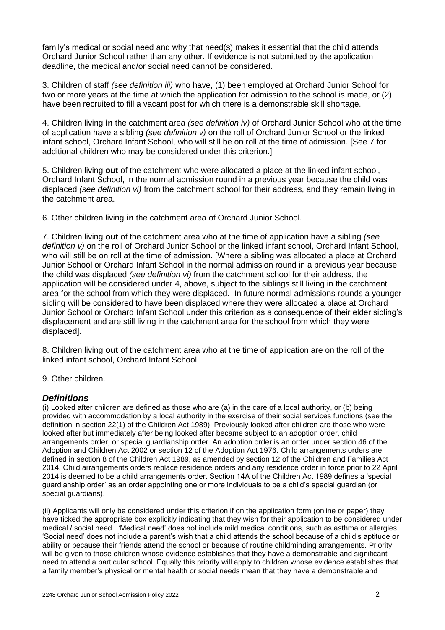family's medical or social need and why that need(s) makes it essential that the child attends Orchard Junior School rather than any other. If evidence is not submitted by the application deadline, the medical and/or social need cannot be considered.

3. Children of staff *(see definition iii)* who have, (1) been employed at Orchard Junior School for two or more years at the time at which the application for admission to the school is made, or (2) have been recruited to fill a vacant post for which there is a demonstrable skill shortage.

4. Children living **in** the catchment area *(see definition iv)* of Orchard Junior School who at the time of application have a sibling *(see definition v)* on the roll of Orchard Junior School or the linked infant school, Orchard Infant School, who will still be on roll at the time of admission. [See 7 for additional children who may be considered under this criterion.]

5. Children living **out** of the catchment who were allocated a place at the linked infant school, Orchard Infant School, in the normal admission round in a previous year because the child was displaced *(see definition vi)* from the catchment school for their address, and they remain living in the catchment area.

6. Other children living **in** the catchment area of Orchard Junior School.

7. Children living **out** of the catchment area who at the time of application have a sibling *(see definition v)* on the roll of Orchard Junior School or the linked infant school, Orchard Infant School, who will still be on roll at the time of admission. [Where a sibling was allocated a place at Orchard Junior School or Orchard Infant School in the normal admission round in a previous year because the child was displaced *(see definition vi)* from the catchment school for their address, the application will be considered under 4, above, subject to the siblings still living in the catchment area for the school from which they were displaced. In future normal admissions rounds a younger sibling will be considered to have been displaced where they were allocated a place at Orchard Junior School or Orchard Infant School under this criterion as a consequence of their elder sibling's displacement and are still living in the catchment area for the school from which they were displaced].

8. Children living **out** of the catchment area who at the time of application are on the roll of the linked infant school, Orchard Infant School.

9. Other children.

#### *Definitions*

(i) Looked after children are defined as those who are (a) in the care of a local authority, or (b) being provided with accommodation by a local authority in the exercise of their social services functions (see the definition in section 22(1) of the Children Act 1989). Previously looked after children are those who were looked after but immediately after being looked after became subject to an adoption order, child arrangements order, or special guardianship order. An adoption order is an order under section 46 of the Adoption and Children Act 2002 or section 12 of the Adoption Act 1976. Child arrangements orders are defined in section 8 of the Children Act 1989, as amended by section 12 of the Children and Families Act 2014. Child arrangements orders replace residence orders and any residence order in force prior to 22 April 2014 is deemed to be a child arrangements order. Section 14A of the Children Act 1989 defines a 'special guardianship order' as an order appointing one or more individuals to be a child's special guardian (or special quardians).

(ii) Applicants will only be considered under this criterion if on the application form (online or paper) they have ticked the appropriate box explicitly indicating that they wish for their application to be considered under medical / social need. 'Medical need' does not include mild medical conditions, such as asthma or allergies. 'Social need' does not include a parent's wish that a child attends the school because of a child's aptitude or ability or because their friends attend the school or because of routine childminding arrangements. Priority will be given to those children whose evidence establishes that they have a demonstrable and significant need to attend a particular school. Equally this priority will apply to children whose evidence establishes that a family member's physical or mental health or social needs mean that they have a demonstrable and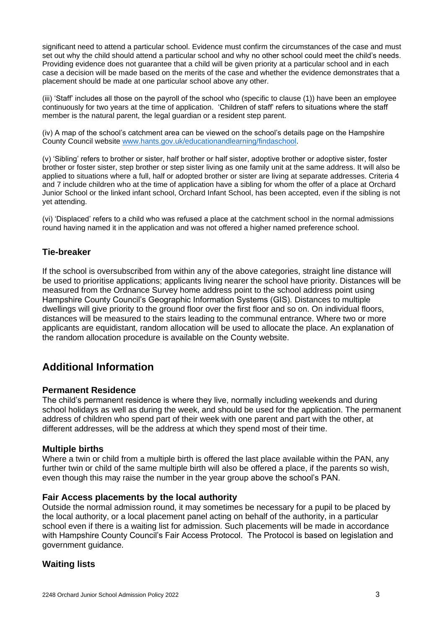significant need to attend a particular school. Evidence must confirm the circumstances of the case and must set out why the child should attend a particular school and why no other school could meet the child's needs. Providing evidence does not guarantee that a child will be given priority at a particular school and in each case a decision will be made based on the merits of the case and whether the evidence demonstrates that a placement should be made at one particular school above any other.

(iii) 'Staff' includes all those on the payroll of the school who (specific to clause (1)) have been an employee continuously for two years at the time of application. 'Children of staff' refers to situations where the staff member is the natural parent, the legal guardian or a resident step parent.

(iv) A map of the school's catchment area can be viewed on the school's details page on the Hampshire County Council website [www.hants.gov.uk/educationandlearning/findaschool.](http://www.hants.gov.uk/educationandlearning/findaschool)

(v) 'Sibling' refers to brother or sister, half brother or half sister, adoptive brother or adoptive sister, foster brother or foster sister, step brother or step sister living as one family unit at the same address. It will also be applied to situations where a full, half or adopted brother or sister are living at separate addresses. Criteria 4 and 7 include children who at the time of application have a sibling for whom the offer of a place at Orchard Junior School or the linked infant school, Orchard Infant School, has been accepted, even if the sibling is not yet attending.

(vi) 'Displaced' refers to a child who was refused a place at the catchment school in the normal admissions round having named it in the application and was not offered a higher named preference school.

## **Tie-breaker**

If the school is oversubscribed from within any of the above categories, straight line distance will be used to prioritise applications; applicants living nearer the school have priority. Distances will be measured from the Ordnance Survey home address point to the school address point using Hampshire County Council's Geographic Information Systems (GIS). Distances to multiple dwellings will give priority to the ground floor over the first floor and so on. On individual floors, distances will be measured to the stairs leading to the communal entrance. Where two or more applicants are equidistant, random allocation will be used to allocate the place. An explanation of the random allocation procedure is available on the County website.

# **Additional Information**

#### **Permanent Residence**

The child's permanent residence is where they live, normally including weekends and during school holidays as well as during the week, and should be used for the application. The permanent address of children who spend part of their week with one parent and part with the other, at different addresses, will be the address at which they spend most of their time.

#### **Multiple births**

Where a twin or child from a multiple birth is offered the last place available within the PAN, any further twin or child of the same multiple birth will also be offered a place, if the parents so wish, even though this may raise the number in the year group above the school's PAN.

#### **Fair Access placements by the local authority**

Outside the normal admission round, it may sometimes be necessary for a pupil to be placed by the local authority, or a local placement panel acting on behalf of the authority, in a particular school even if there is a waiting list for admission. Such placements will be made in accordance with Hampshire County Council's Fair Access Protocol. The Protocol is based on legislation and government guidance.

#### **Waiting lists**